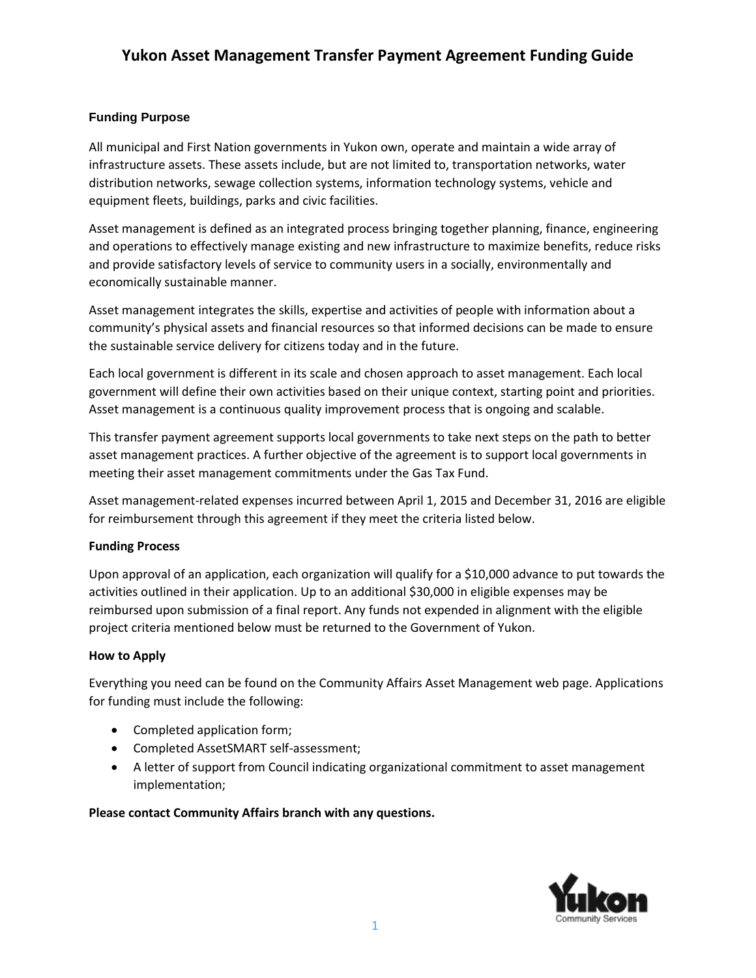# **Yukon Asset Management Transfer Payment Agreement Funding Guide**

## **Funding Purpose**

All municipal and First Nation governments in Yukon own, operate and maintain a wide array of infrastructure assets. These assets include, but are not limited to, transportation networks, water distribution networks, sewage collection systems, information technology systems, vehicle and equipment fleets, buildings, parks and civic facilities.

Asset management is defined as an integrated process bringing together planning, finance, engineering and operations to effectively manage existing and new infrastructure to maximize benefits, reduce risks and provide satisfactory levels of service to community users in a socially, environmentally and economically sustainable manner.

Asset management integrates the skills, expertise and activities of people with information about a community's physical assets and financial resources so that informed decisions can be made to ensure the sustainable service delivery for citizens today and in the future.

Each local government is different in its scale and chosen approach to asset management. Each local government will define their own activities based on their unique context, starting point and priorities. Asset management is a continuous quality improvement process that is ongoing and scalable.

This transfer payment agreement supports local governments to take next steps on the path to better asset management practices. A further objective of the agreement is to support local governments in meeting their asset management commitments under the Gas Tax Fund.

Asset management-related expenses incurred between April 1, 2015 and December 31, 2016 are eligible for reimbursement through this agreement if they meet the criteria listed below.

## **Funding Process**

Upon approval of an application, each organization will qualify for a \$10,000 advance to put towards the activities outlined in their application. Up to an additional \$30,000 in eligible expenses may be reimbursed upon submission of a final report. Any funds not expended in alignment with the eligible project criteria mentioned below must be returned to the Government of Yukon.

## **How to Apply**

Everything you need can be found on the Community Affairs Asset Management web page. Applications for funding must include the following:

- Completed application form;
- Completed AssetSMART self-assessment;
- A letter of support from Council indicating organizational commitment to asset management implementation;

## **Please contact Community Affairs branch with any questions.**

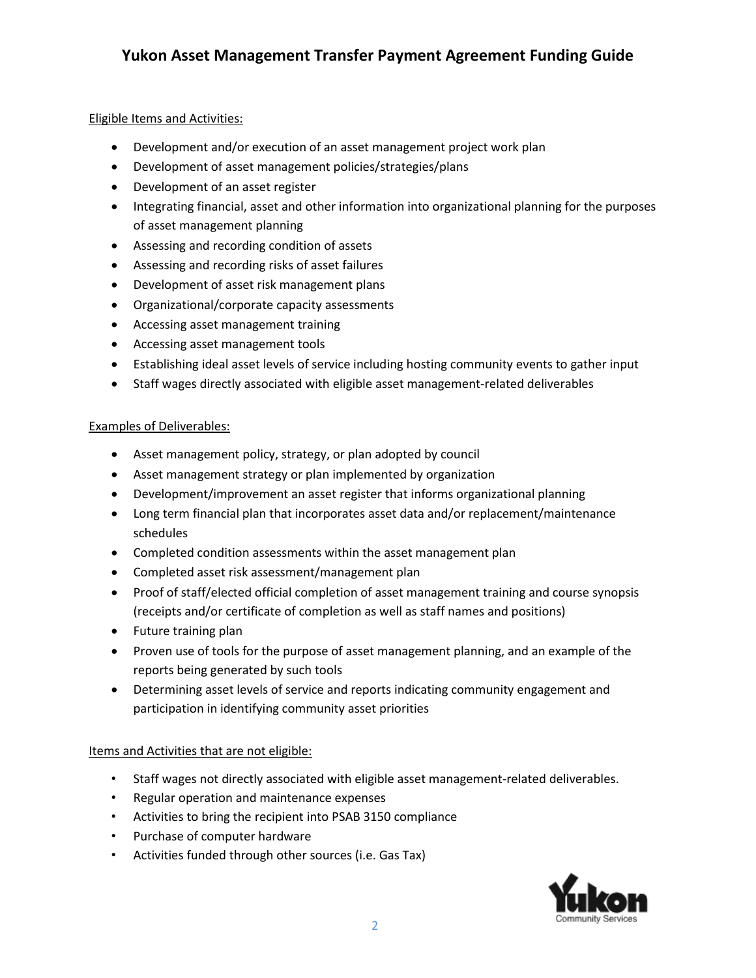## Eligible Items and Activities:

- Development and/or execution of an asset management project work plan
- Development of asset management policies/strategies/plans
- Development of an asset register
- Integrating financial, asset and other information into organizational planning for the purposes of asset management planning
- Assessing and recording condition of assets
- Assessing and recording risks of asset failures
- Development of asset risk management plans
- Organizational/corporate capacity assessments
- Accessing asset management training
- Accessing asset management tools
- Establishing ideal asset levels of service including hosting community events to gather input
- Staff wages directly associated with eligible asset management-related deliverables

#### Examples of Deliverables:

- Asset management policy, strategy, or plan adopted by council
- Asset management strategy or plan implemented by organization
- Development/improvement an asset register that informs organizational planning
- Long term financial plan that incorporates asset data and/or replacement/maintenance schedules
- Completed condition assessments within the asset management plan
- Completed asset risk assessment/management plan
- Proof of staff/elected official completion of asset management training and course synopsis (receipts and/or certificate of completion as well as staff names and positions)
- Future training plan
- Proven use of tools for the purpose of asset management planning, and an example of the reports being generated by such tools
- Determining asset levels of service and reports indicating community engagement and participation in identifying community asset priorities

#### Items and Activities that are not eligible:

- Staff wages not directly associated with eligible asset management-related deliverables.
- Regular operation and maintenance expenses
- Activities to bring the recipient into PSAB 3150 compliance
- Purchase of computer hardware
- Activities funded through other sources (i.e. Gas Tax)